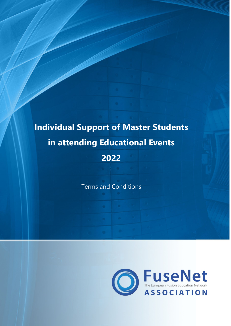# **Individual Support of Master Students in attending Educational Events 2022**

Terms and Conditions

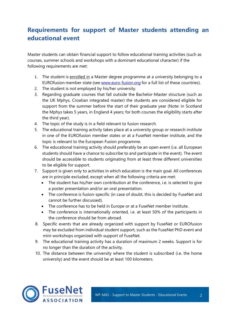## **Requirements for support of Master students attending an educational event**

Master students can obtain financial support to follow educational training activities (such as courses, summer schools and workshops with a dominant educational character) if the following requirements are met:

- 1. The student is enrolled in a Master degree programme at a university belonging to a EUROfusion member state (see [www.euro-fusion.org](http://www.euro-fusion.org/) for a full list of these countries).
- 2. The student is not employed by his/her university.
- 3. Regarding graduate courses that fall outside the Bachelor-Master structure (such as the UK Mphys, Croatian integrated master) the students are considered eligible for support from the summer before the start of their graduate year (Note: in Scotland the Mphys takes 5 years, in England 4 years; for both courses the eligibility starts after the third year).
- 4. The topic of the study is in a field relevant to fusion research.
- 5. The educational training activity takes place at a university group or research institute in one of the EUROfusion member states or at a FuseNet member institute, and the topic is relevant to the European Fusion programme.
- 6. The educational training activity should preferably be an open event (i.e. all European students should have a chance to subscribe to and participate in the event). The event should be accessible to students originating from at least three different universities to be eligible for support.
- 7. Support is given only to activities in which education is the main goal. All conferences are in principle excluded, except when all the following criteria are met:
	- The student has his/her own contribution at the conference, i.e. is selected to give a poster presentation and/or an oral presentation.
	- The conference is fusion-specific (in case of doubt, this is decided by FuseNet and cannot be further discussed).
	- The conference has to be held in Europe or at a FuseNet member institute.
	- The conference is internationally oriented, i.e. at least 50% of the participants in the conference should be from abroad.
- 8. Specific events that are already organized with support by FuseNet or EUROfusion may be excluded from individual student support, such as the FuseNet PhD event and mini-workshops organized with support of FuseNet.
- 9. The educational training activity has a duration of maximum 2 weeks. Support is for no longer than the duration of the activity.
- 10. The distance between the university where the student is subscribed (i.e. the home university) and the event should be at least 100 kilometers.

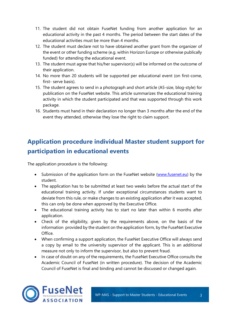- 11. The student did not obtain FuseNet funding from another application for an educational activity in the past 4 months. The period between the start dates of the educational activities must be more than 4 months.
- 12. The student must declare not to have obtained another grant from the organizer of the event or other funding scheme (e.g. within Horizon Europe or otherwise publically funded) for attending the educational event.
- 13. The student must agree that his/her supervisor(s) will be informed on the outcome of their application.
- 14. No more than 20 students will be supported per educational event (on first-come, first- serve basis).
- 15. The student agrees to send in a photograph and short article (A5-size, blog-style) for publication on the FuseNet website. This article summarizes the educational training activity in which the student participated and that was supported through this work package.
- 16. Students must hand in their declaration no longer than 3 months after the end of the event they attended, otherwise they lose the right to claim support.

# **Application procedure individual Master student support for participation in educational events**

The application procedure is the following:

- Submission of the application form on the FuseNet website [\(www.fusenet.eu\)](http://www.fusenet.eu/) by the student.
- The application has to be submitted at least two weeks before the actual start of the educational training activity. If under exceptional circumstances students want to deviate from this rule, or make changes to an existing application after it was accepted, this can only be done when approved by the Executive Office.
- The educational training activity has to start no later than within 6 months after application.
- Check of the eligibility, given by the requirements above, on the basis of the information provided by the student on the application form, by the FuseNet Executive Office.
- When confirming a support application, the FuseNet Executive Office will always send a copy by email to the university supervisor of the applicant. This is an additional measure not only to inform the supervisor, but also to prevent fraud.
- In case of doubt on any of the requirements, the FuseNet Executive Office consults the Academic Council of FuseNet (in written procedure). The decision of the Academic Council of FuseNet is final and binding and cannot be discussed or changed again.

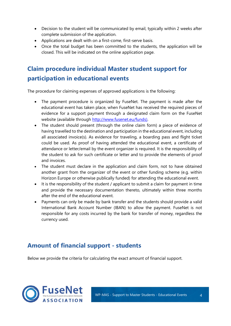- Decision to the student will be communicated by email, typically within 2 weeks after complete submission of the application.
- Applications are dealt with on a first-come, first-serve basis.
- Once the total budget has been committed to the students, the application will be closed. This will be indicated on the online application page.

# **Claim procedure individual Master student support for participation in educational events**

The procedure for claiming expenses of approved applications is the following:

- The payment procedure is organized by FuseNet. The payment is made after the educational event has taken place, when FuseNet has received the required pieces of evidence for a support payment through a designated claim form on the FuseNet website (available through [http://www.fusenet.eu/funds\).](http://www.fusenet.eu/funds))
- The student should present (through the online claim form) a piece of evidence of having travelled to the destination and participation in the educational event, including all associated invoice(s). As evidence for traveling, a boarding pass and flight ticket could be used. As proof of having attended the educational event, a certificate of attendance or letter/email by the event organizer is required. It is the responsibility of the student to ask for such certificate or letter and to provide the elements of proof and invoices.
- The student must declare in the application and claim form, not to have obtained another grant from the organizer of the event or other funding scheme (e.g. within Horizon Europe or otherwise publically funded) for attending the educational event.
- It is the responsibility of the student / applicant to submit a claim for payment in time and provide the necessary documentation thereto, ultimately within three months after the end of the educational event.
- Payments can only be made by bank transfer and the students should provide a valid International Bank Account Number (IBAN) to allow the payment. FuseNet is not responsible for any costs incurred by the bank for transfer of money, regardless the currency used.

## **Amount of financial support - students**

Below we provide the criteria for calculating the exact amount of financial support.

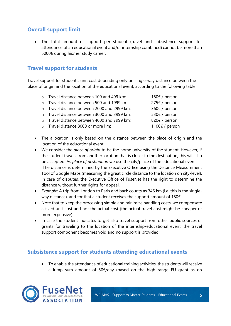### **Overall support limit**

• The total amount of support per student (travel and subsistence support for attendance of an educational event and/or internship combined) cannot be more than 5000€ during his/her study career.

### **Travel support for students**

Travel support for students: unit cost depending only on single-way distance between the place of origin and the location of the educational event, according to the following table:

| o Travel distance between 100 and 499 km:<br>o Travel distance between 500 and 1999 km:<br>o Travel distance between 2000 and 2999 km:<br>o Travel distance between 3000 and 3999 km:<br>o Travel distance between 4000 and 7999 km:<br>o Travel distance 8000 or more km: |  |                |
|----------------------------------------------------------------------------------------------------------------------------------------------------------------------------------------------------------------------------------------------------------------------------|--|----------------|
|                                                                                                                                                                                                                                                                            |  | 180€ / person  |
|                                                                                                                                                                                                                                                                            |  | 275€ / person  |
|                                                                                                                                                                                                                                                                            |  | 360€ / person  |
|                                                                                                                                                                                                                                                                            |  | 530€ / person  |
|                                                                                                                                                                                                                                                                            |  | 820€ / person  |
|                                                                                                                                                                                                                                                                            |  | 1100€ / person |
|                                                                                                                                                                                                                                                                            |  |                |

- The allocation is only based on the distance between the place of origin and the location of the educational event.
- We consider the *place of origin* to be the home university of the student. However, if the student travels from another location that is closer to the destination, this will also be accepted. As *place of destination* we use the city/place of the educational event. The distance is determined by the Executive Office using the Distance Measurement Tool of Google Maps (measuring the great circle distance to the location on city-level). In case of disputes, the Executive Office of FuseNet has the right to determine the distance without further rights for appeal.
- *Example:* A trip from London to Paris and back counts as 346 km (i.e. this is the singleway distance), and for that a student receives the support amount of 180€.
- Note that to keep the processing simple and minimize handling costs, we compensate a fixed unit cost and not the actual cost (the actual travel cost might be cheaper or more expensive).
- In case the student indicates to get also travel support from other public sources or grants for traveling to the location of the internship/educational event, the travel support component becomes void and no support is provided.

#### **Subsistence support for students attending educational events**

• To enable the attendance of educational training activities, the students will receive a lump sum amount of 50€/day (based on the high range EU grant as on